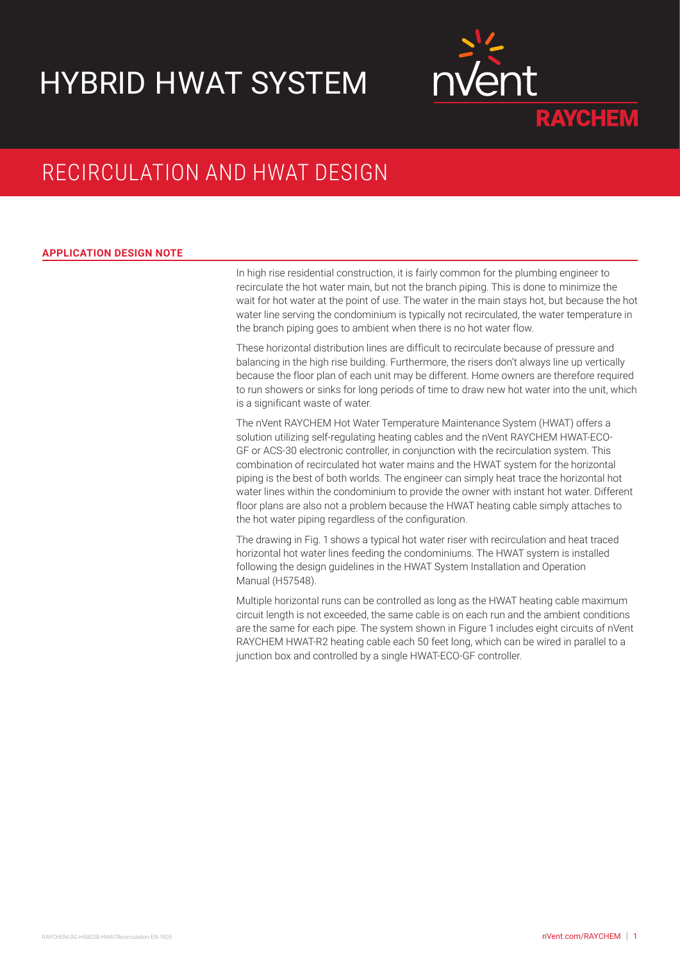# HYBRID HWAT SYSTEM



## RECIRCULATION AND HWAT DESIGN

### **APPLICATION DESIGN NOTE**

In high rise residential construction, it is fairly common for the plumbing engineer to recirculate the hot water main, but not the branch piping. This is done to minimize the wait for hot water at the point of use. The water in the main stays hot, but because the hot water line serving the condominium is typically not recirculated, the water temperature in the branch piping goes to ambient when there is no hot water flow.

These horizontal distribution lines are difficult to recirculate because of pressure and balancing in the high rise building. Furthermore, the risers don't always line up vertically because the floor plan of each unit may be different. Home owners are therefore required to run showers or sinks for long periods of time to draw new hot water into the unit, which is a significant waste of water.

The nVent RAYCHEM Hot Water Temperature Maintenance System (HWAT) offers a solution utilizing self-regulating heating cables and the nVent RAYCHEM HWAT-ECO-GF or ACS-30 electronic controller, in conjunction with the recirculation system. This combination of recirculated hot water mains and the HWAT system for the horizontal piping is the best of both worlds. The engineer can simply heat trace the horizontal hot water lines within the condominium to provide the owner with instant hot water. Different floor plans are also not a problem because the HWAT heating cable simply attaches to the hot water piping regardless of the configuration.

The drawing in Fig. 1 shows a typical hot water riser with recirculation and heat traced horizontal hot water lines feeding the condominiums. The HWAT system is installed following the design guidelines in the HWAT System Installation and Operation Manual (H57548).

Multiple horizontal runs can be controlled as long as the HWAT heating cable maximum circuit length is not exceeded, the same cable is on each run and the ambient conditions are the same for each pipe. The system shown in Figure 1 includes eight circuits of nVent RAYCHEM HWAT-R2 heating cable each 50 feet long, which can be wired in parallel to a junction box and controlled by a single HWAT-ECO-GF controller.